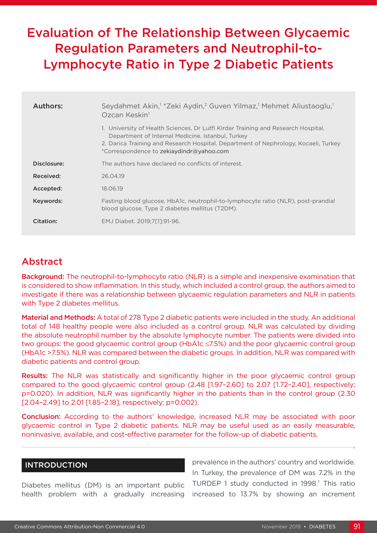# Evaluation of The Relationship Between Glycaemic Regulation Parameters and Neutrophil-to-Lymphocyte Ratio in Type 2 Diabetic Patients

| Authors:    | Seydahmet Akin, <sup>1</sup> *Zeki Aydin, <sup>2</sup> Guven Yilmaz, <sup>1</sup> Mehmet Aliustaoglu, <sup>1</sup><br>Ozcan Keskin <sup>1</sup>                                                                                                                           |  |  |
|-------------|---------------------------------------------------------------------------------------------------------------------------------------------------------------------------------------------------------------------------------------------------------------------------|--|--|
|             | 1. University of Health Sciences, Dr Lutfi Kirdar Training and Research Hospital,<br>Department of Internal Medicine. Istanbul, Turkey<br>2. Darica Training and Research Hospital, Department of Nephrology, Kocaeli, Turkey<br>*Correspondence to zekiaydindr@yahoo.com |  |  |
| Disclosure: | The authors have declared no conflicts of interest.                                                                                                                                                                                                                       |  |  |
| Received:   | 26.04.19                                                                                                                                                                                                                                                                  |  |  |
| Accepted:   | 18.06.19                                                                                                                                                                                                                                                                  |  |  |
| Keywords:   | Fasting blood glucose, HbA1c, neutrophil-to-lymphocyte ratio (NLR), post-prandial<br>blood glucose, Type 2 diabetes mellitus (T2DM).                                                                                                                                      |  |  |
| Citation:   | EMJ Diabet. 2019:7[11:91-96.                                                                                                                                                                                                                                              |  |  |

# Abstract

**Background:** The neutrophil-to-lymphocyte ratio (NLR) is a simple and inexpensive examination that is considered to show inflammation. In this study, which included a control group, the authors aimed to investigate if there was a relationship between glycaemic regulation parameters and NLR in patients with Type 2 diabetes mellitus.

Material and Methods: A total of 278 Type 2 diabetic patients were included in the study. An additional total of 148 healthy people were also included as a control group. NLR was calculated by dividing the absolute neutrophil number by the absolute lymphocyte number. The patients were divided into two groups: the good glycaemic control group (HbA1c ≤7.5%) and the poor glycaemic control group (HbA1c >7.5%). NLR was compared between the diabetic groups. In addition, NLR was compared with diabetic patients and control group.

Results: The NLR was statistically and significantly higher in the poor glycaemic control group compared to the good glycaemic control group (2.48 [1.97–2.60] to 2.07 [1.72–2.40], respectively; p=0.020). In addition, NLR was significantly higher in the patients than in the control group (2.30 [2.04-2.49] to 2.01 [1.85-2.18], respectively; p=0.002).

Conclusion: According to the authors' knowledge, increased NLR may be associated with poor glycaemic control in Type 2 diabetic patients. NLR may be useful used as an easily measurable, noninvasive, available, and cost-effective parameter for the follow-up of diabetic patients.

#### INTRODUCTION

Diabetes mellitus (DM) is an important public health problem with a gradually increasing

prevalence in the authors' country and worldwide. In Turkey, the prevalence of DM was 7.2% in the TURDEP 1 study conducted in 1998.<sup>1</sup> This ratio increased to 13.7% by showing an increment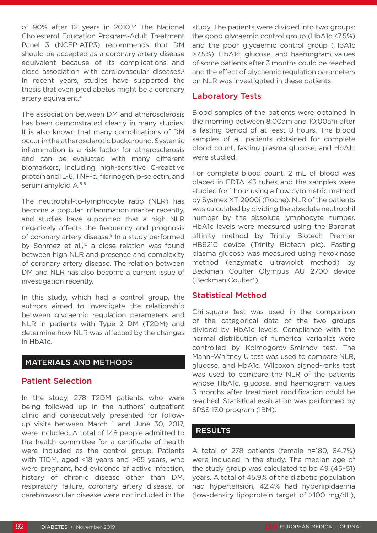of 90% after 12 years in 2010.<sup>1,2</sup> The National Cholesterol Education Program-Adult Treatment Panel 3 (NCEP-ATP3) recommends that DM should be accepted as a coronary artery disease equivalent because of its complications and close association with cardiovascular diseases.3 In recent years, studies have supported the thesis that even prediabetes might be a coronary artery equivalent.4

The association between DM and atherosclerosis has been demonstrated clearly in many studies. It is also known that many complications of DM occur in the atherosclerotic background. Systemic inflammation is a risk factor for atherosclerosis and can be evaluated with many different biomarkers, including high-sensitive C-reactive protein and IL-6, TNF-α, fibrinogen, p-selectin, and serum amyloid A.<sup>5-8</sup>

The neutrophil-to-lymphocyte ratio (NLR) has become a popular inflammation marker recently, and studies have supported that a high NLR negatively affects the frequency and prognosis of coronary artery disease.<sup>9</sup> In a study performed by Sonmez et al.,<sup>10</sup> a close relation was found between high NLR and presence and complexity of coronary artery disease. The relation between DM and NLR has also become a current issue of investigation recently.

In this study, which had a control group, the authors aimed to investigate the relationship between glycaemic regulation parameters and NLR in patients with Type 2 DM (T2DM) and determine how NLR was affected by the changes in HbA1c.

## MATERIALS AND METHODS

## Patient Selection

In the study, 278 T2DM patients who were being followed up in the authors' outpatient clinic and consecutively presented for followup visits between March 1 and June 30, 2017, were included. A total of 148 people admitted to the health committee for a certificate of health were included as the control group. Patients with T1DM, aged <18 years and >65 years, who were pregnant, had evidence of active infection, history of chronic disease other than DM, respiratory failure, coronary artery disease, or cerebrovascular disease were not included in the

study. The patients were divided into two groups: the good glycaemic control group (HbA1c ≤7.5%) and the poor glycaemic control group (HbA1c >7.5%). HbA1c, glucose, and haemogram values of some patients after 3 months could be reached and the effect of glycaemic regulation parameters on NLR was investigated in these patients.

# Laboratory Tests

Blood samples of the patients were obtained in the morning between 8:00am and 10:00am after a fasting period of at least 8 hours. The blood samples of all patients obtained for complete blood count, fasting plasma glucose, and HbA1c were studied.

For complete blood count, 2 mL of blood was placed in EDTA K3 tubes and the samples were studied for 1 hour using a flow cytometric method by Sysmex XT-2000i (Roche). NLR of the patients was calculated by dividing the absolute neutrophil number by the absolute lymphocyte number. HbA1c levels were measured using the Boronat affinity method by Trinity Biotech Premier HB9210 device (Trinity Biotech plc). Fasting plasma glucose was measured using hexokinase method (enzymatic ultraviolet method) by Beckman Coulter Olympus AU 2700 device (Beckman Coulter®).

# Statistical Method

Chi-square test was used in the comparison of the categorical data of the two groups divided by HbA1c levels. Compliance with the normal distribution of numerical variables were controlled by Kolmogorov–Smirnov test. The Mann–Whitney U test was used to compare NLR, glucose, and HbA1c. Wilcoxon signed-ranks test was used to compare the NLR of the patients whose HbA1c, glucose, and haemogram values 3 months after treatment modification could be reached. Statistical evaluation was performed by SPSS 17.0 program (IBM).

# **RESULTS**

A total of 278 patients (female n=180, 64.7%) were included in the study. The median age of the study group was calculated to be 49 (45–51) years. A total of 45.9% of the diabetic population had hypertension, 42.4% had hyperlipidaemia (low-density lipoprotein target of ≥100 mg/dL),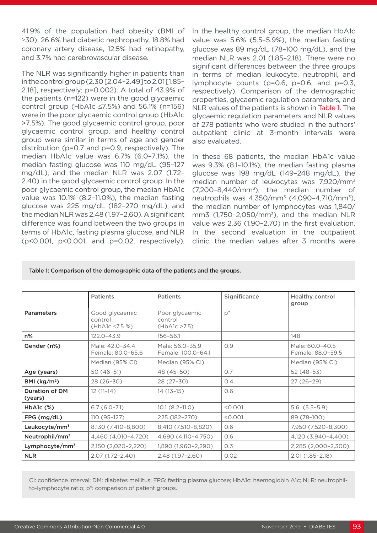41.9% of the population had obesity (BMI of ≥30), 26.6% had diabetic nephropathy, 18.8% had coronary artery disease, 12.5% had retinopathy, and 3.7% had cerebrovascular disease.

The NLR was significantly higher in patients than in the control group (2.30 [2.04–2.49] to 2.01 [1.85– 2.18], respectively; p=0.002). A total of 43.9% of the patients (n=122) were in the good glycaemic control group (HbA1c ≤7.5%) and 56.1% (n=156) were in the poor glycaemic control group (HbA1c >7.5%). The good glycaemic control group, poor glycaemic control group, and healthy control group were similar in terms of age and gender distribution (p=0.7 and p=0.9, respectively). The median HbA1c value was 6.7% (6.0–7.1%), the median fasting glucose was 110 mg/dL (95–127 mg/dL), and the median NLR was 2.07 (1.72– 2.40) in the good glycaemic control group. In the poor glycaemic control group, the median HbA1c value was 10.1% (8.2–11.0%), the median fasting glucose was 225 mg/dL (182–270 mg/dL), and the median NLR was 2.48 (1.97–2.60). A significant difference was found between the two groups in terms of HbA1c, fasting plasma glucose, and NLR (p<0.001, p<0.001, and p=0.02, respectively). In the healthy control group, the median HbA1c value was 5.6% (5.5–5.9%), the median fasting glucose was 89 mg/dL (78–100 mg/dL), and the median NLR was 2.01 (1.85–2.18). There were no significant differences between the three groups in terms of median leukocyte, neutrophil, and lymphocyte counts (p=0.6, p=0.6, and p=0.3, respectively). Comparison of the demographic properties, glycaemic regulation parameters, and NLR values of the patients is shown in Table 1. The glycaemic regulation parameters and NLR values of 278 patients who were studied in the authors' outpatient clinic at 3-month intervals were also evaluated.

In these 68 patients, the median HbA1c value was 9.3% (8.1–10.1%), the median fasting plasma glucose was 198 mg/dL (149–248 mg/dL), the median number of leukocytes was 7,920/mm<sup>3</sup>  $(7.200-8.440/\text{mm}^3)$ , the median number of neutrophils was 4,350/mm<sup>3</sup> (4,090-4,710/mm<sup>3</sup>), the median number of lymphocytes was 1,840/  $mm3$  (1,750-2,050/ $mm<sup>3</sup>$ ), and the median NLR value was 2.36 (1.90–2.70) in the first evaluation. In the second evaluation in the outpatient clinic, the median values after 3 months were

Table 1: Comparison of the demographic data of the patients and the groups.

|                                  | <b>Patients</b>                                  | <b>Patients</b>                            | Significance | <b>Healthy control</b><br>group      |
|----------------------------------|--------------------------------------------------|--------------------------------------------|--------------|--------------------------------------|
| <b>Parameters</b>                | Good glycaemic<br>control<br>(HbA1c $\le$ 7.5 %) | Poor glycaemic<br>control<br>(HbA1c > 7.5) | $p^*$        |                                      |
| n%                               | 122.0-43.9                                       | $156 - 56.1$                               |              | 148                                  |
| Gender (n%)                      | Male: 42.0-34.4<br>Female: 80.0-65.6             | Male: 56.0-35.9<br>Female: 100.0-64.1      | O.9          | Male: 60.0-40.5<br>Female: 88.0-59.5 |
|                                  | Median (95% CI)                                  | Median (95% CI)                            |              | Median (95% CI)                      |
| Age (years)                      | $50(46-51)$                                      | 48 (45-50)                                 | O.7          | $52(48-53)$                          |
| BMI ( $\text{kg/m}^2$ )          | 28 (26-30)                                       | 28 (27-30)                                 | O.4          | $27(26-29)$                          |
| <b>Duration of DM</b><br>(years) | $12(11-14)$                                      | $14(13-15)$                                | 0.6          |                                      |
| $HbA1c$ $(\%)$                   | $6.7(6.0-7.1)$                                   | $10.1 (8.2 - 11.0)$                        | < 0.001      | $5.6$ $(5.5-5.9)$                    |
| $FPG$ (mg/dL)                    | 110 (95-127)                                     | 225 (182-270)                              | < 0.001      | 89 (78-100)                          |
| Leukocyte/mm <sup>3</sup>        | 8,130 (7,410-8,800)                              | 8,410 (7,510-8,820)                        | 0.6          | 7,950 (7,520-8,300)                  |
| Neutrophil/mm <sup>3</sup>       | 4,460 (4,010-4,720)                              | 4,690 (4,110-4,750)                        | 0.6          | 4,120 (3,940-4,400)                  |
| Lymphocyte/mm <sup>3</sup>       | 2,150 (2,020-2,220)                              | 1,890 (1,960-2,290)                        | O.3          | 2,285 (2,000-2,300)                  |
| <b>NLR</b>                       | 2.07 (1.72-2.40)                                 | 2.48 (1.97-2.60)                           | 0.02         | 2.01 (1.85-2.18)                     |

CI: confidence interval; DM: diabetes mellitus; FPG: fasting plasma glucose; HbA1c: haemoglobin A1c; NLR: neutrophilto-lymphocyte ratio; p\*: comparison of patient groups.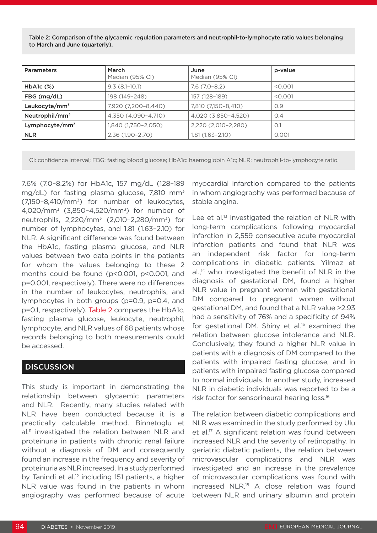Table 2: Comparison of the glycaemic regulation parameters and neutrophil-to-lymphocyte ratio values belonging to March and June (quarterly).

| <b>Parameters</b>          | <b>March</b><br>Median (95% CI) | June<br>Median (95% CI) | p-value |
|----------------------------|---------------------------------|-------------------------|---------|
| $HbA1c$ $(\%)$             | $9.3(8.1-10.1)$                 | $7.6(7.0-8.2)$          | < 0.001 |
| FBG (mg/dL)                | 198 (149-248)                   | 157 (128-189)           | < 0.001 |
| Leukocyte/mm <sup>3</sup>  | 7,920 (7,200-8,440)             | 7,810 (7,150-8,410)     | O.9     |
| Neutrophil/mm <sup>3</sup> | 4,350 (4,090-4,710)             | 4,020 (3,850-4,520)     | O.4     |
| Lymphocyte/mm <sup>3</sup> | 1,840 (1,750-2,050)             | 2,220 (2,010-2,280)     | O.1     |
| <b>NLR</b>                 | $2.36(1.90 - 2.70)$             | $1.81(1.63 - 2.10)$     | 0.001   |

CI: confidence interval; FBG: fasting blood glucose; HbA1c: haemoglobin A1c; NLR: neutrophil-to-lymphocyte ratio.

7.6% (7.0–8.2%) for HbA1c, 157 mg/dL (128–189 mg/dL) for fasting plasma glucose, 7,810 mm<sup>3</sup> (7,150–8,410/mm3) for number of leukocytes, 4,020/mm3 (3,850–4,520/mm3) for number of neutrophils, 2,220/mm3 (2,010–2,280/mm3) for number of lymphocytes, and 1.81 (1.63–2.10) for NLR. A significant difference was found between the HbA1c, fasting plasma glucose, and NLR values between two data points in the patients for whom the values belonging to these 2 months could be found (p<0.001, p<0.001, and p=0.001, respectively). There were no differences in the number of leukocytes, neutrophils, and lymphocytes in both groups (p=0.9, p=0.4, and p=0.1, respectively). Table 2 compares the HbA1c, fasting plasma glucose, leukocyte, neutrophil, lymphocyte, and NLR values of 68 patients whose records belonging to both measurements could be accessed.

#### **DISCUSSION**

This study is important in demonstrating the relationship between glycaemic parameters and NLR. Recently, many studies related with NLR have been conducted because it is a practically calculable method. Binnetoglu et al.<sup>11</sup> investigated the relation between NLR and proteinuria in patients with chronic renal failure without a diagnosis of DM and consequently found an increase in the frequency and severity of proteinuria as NLR increased. In a study performed by Tanindi et al. $12$  including 151 patients, a higher NLR value was found in the patients in whom angiography was performed because of acute

myocardial infarction compared to the patients in whom angiography was performed because of stable angina.

Lee et al.<sup>13</sup> investigated the relation of NLR with long-term complications following myocardial infarction in 2,559 consecutive acute myocardial infarction patients and found that NLR was an independent risk factor for long-term complications in diabetic patients. Yilmaz et  $al.^{14}$  who investigated the benefit of NLR in the diagnosis of gestational DM, found a higher NLR value in pregnant women with gestational DM compared to pregnant women without gestational DM, and found that a NLR value >2.93 had a sensitivity of 76% and a specificity of 94% for gestational DM. Shiny et al.<sup>15</sup> examined the relation between glucose intolerance and NLR. Conclusively, they found a higher NLR value in patients with a diagnosis of DM compared to the patients with impaired fasting glucose, and in patients with impaired fasting glucose compared to normal individuals. In another study, increased NLR in diabetic individuals was reported to be a risk factor for sensorineural hearing loss.16

The relation between diabetic complications and NLR was examined in the study performed by Ulu et al.17 A significant relation was found between increased NLR and the severity of retinopathy. In geriatric diabetic patients, the relation between microvascular complications and NLR was investigated and an increase in the prevalence of microvascular complications was found with increased NLR.18 A close relation was found between NLR and urinary albumin and protein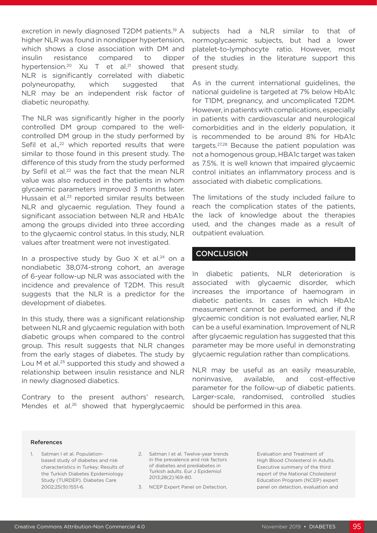excretion in newly diagnosed T2DM patients.<sup>19</sup> A higher NLR was found in nondipper hypertension, which shows a close association with DM and insulin resistance compared to dipper hypertension.<sup>20</sup> Xu T et al.<sup>21</sup> showed that NLR is significantly correlated with diabetic polyneuropathy, which suggested that NLR may be an independent risk factor of diabetic neuropathy.

The NLR was significantly higher in the poorly controlled DM group compared to the wellcontrolled DM group in the study performed by Sefil et al., $22$  which reported results that were similar to those found in this present study. The difference of this study from the study performed by Sefil et al.<sup>22</sup> was the fact that the mean NLR value was also reduced in the patients in whom glycaemic parameters improved 3 months later. Hussain et al.23 reported similar results between NLR and glycaemic regulation. They found a significant association between NLR and HbA1c among the groups divided into three according to the glycaemic control status. In this study, NLR values after treatment were not investigated.

In a prospective study by Guo  $X$  et al.<sup>24</sup> on a nondiabetic 38,074-strong cohort, an average of 6-year follow-up NLR was associated with the incidence and prevalence of T2DM. This result suggests that the NLR is a predictor for the development of diabetes.

In this study, there was a significant relationship between NLR and glycaemic regulation with both diabetic groups when compared to the control group. This result suggests that NLR changes from the early stages of diabetes. The study by Lou M et al.<sup>25</sup> supported this study and showed a relationship between insulin resistance and NLR in newly diagnosed diabetics.

Contrary to the present authors' research, Mendes et al.<sup>26</sup> showed that hyperglycaemic subjects had a NLR similar to that of normoglycaemic subjects, but had a lower platelet-to-lymphocyte ratio. However, most of the studies in the literature support this present study.

As in the current international guidelines, the national guideline is targeted at 7% below HbA1c for T1DM, pregnancy, and uncomplicated T2DM. However, in patients with complications, especially in patients with cardiovascular and neurological comorbidities and in the elderly population, it is recommended to be around 8% for HbA1c targets.27,28 Because the patient population was not a homogenous group, HBA1c target was taken as 7.5%. It is well known that impaired glycaemic control initiates an inflammatory process and is associated with diabetic complications.

The limitations of the study included failure to reach the complication states of the patients, the lack of knowledge about the therapies used, and the changes made as a result of outpatient evaluation.

#### **CONCLUSION**

In diabetic patients, NLR deterioration is associated with glycaemic disorder, which increases the importance of haemogram in diabetic patients. In cases in which HbA1c measurement cannot be performed, and if the glycaemic condition is not evaluated earlier, NLR can be a useful examination. Improvement of NLR after glycaemic regulation has suggested that this parameter may be more useful in demonstrating glycaemic regulation rather than complications.

NLR may be useful as an easily measurable, noninvasive, available, and cost-effective parameter for the follow-up of diabetic patients. Larger-scale, randomised, controlled studies should be performed in this area.

#### References

- 1. Satman I et al. Populationbased study of diabetes and risk characteristics in Turkey: Results of the Turkish Diabetes Epidemiology Study (TURDEP). Diabetes Care 2002;25(9):1551-6.
- 2. Satman I et al. Twelve-year trends in the prevalence and risk factors of diabetes and prediabetes in Turkish adults. Eur J Epidemiol 2013;28(2):169-80.
- 3. NCEP Expert Panel on Detection,

Evaluation and Treatment of High Blood Cholesterol in Adults. Executive summary of the third report of the National Cholesterol Education Program (NCEP) expert panel on detection, evaluation and